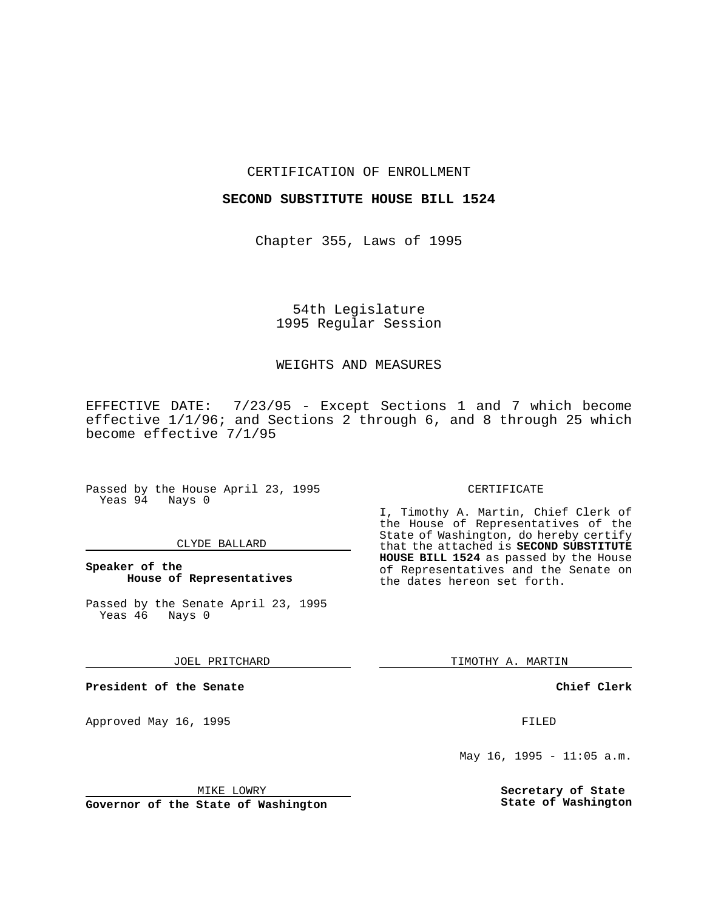## CERTIFICATION OF ENROLLMENT

### **SECOND SUBSTITUTE HOUSE BILL 1524**

Chapter 355, Laws of 1995

# 54th Legislature 1995 Regular Session

### WEIGHTS AND MEASURES

EFFECTIVE DATE: 7/23/95 - Except Sections 1 and 7 which become effective 1/1/96; and Sections 2 through 6, and 8 through 25 which become effective 7/1/95

Passed by the House April 23, 1995 Yeas 94 Nays 0

#### CLYDE BALLARD

**Speaker of the House of Representatives**

Passed by the Senate April 23, 1995<br>Yeas 46 Nays 0 Yeas 46

JOEL PRITCHARD

**President of the Senate**

Approved May 16, 1995 FILED

### MIKE LOWRY

**Governor of the State of Washington**

#### CERTIFICATE

I, Timothy A. Martin, Chief Clerk of the House of Representatives of the State of Washington, do hereby certify that the attached is **SECOND SUBSTITUTE HOUSE BILL 1524** as passed by the House of Representatives and the Senate on the dates hereon set forth.

TIMOTHY A. MARTIN

**Chief Clerk**

May 16, 1995 - 11:05  $a.m.$ 

**Secretary of State State of Washington**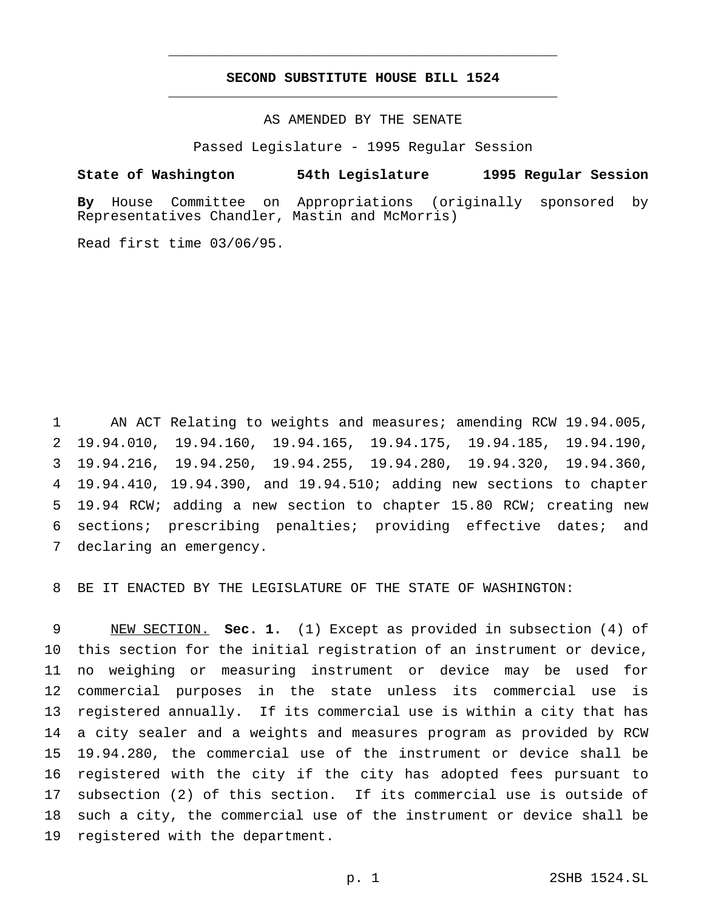## **SECOND SUBSTITUTE HOUSE BILL 1524** \_\_\_\_\_\_\_\_\_\_\_\_\_\_\_\_\_\_\_\_\_\_\_\_\_\_\_\_\_\_\_\_\_\_\_\_\_\_\_\_\_\_\_\_\_\_\_

\_\_\_\_\_\_\_\_\_\_\_\_\_\_\_\_\_\_\_\_\_\_\_\_\_\_\_\_\_\_\_\_\_\_\_\_\_\_\_\_\_\_\_\_\_\_\_

## AS AMENDED BY THE SENATE

Passed Legislature - 1995 Regular Session

#### **State of Washington 54th Legislature 1995 Regular Session**

**By** House Committee on Appropriations (originally sponsored by Representatives Chandler, Mastin and McMorris)

Read first time 03/06/95.

 AN ACT Relating to weights and measures; amending RCW 19.94.005, 19.94.010, 19.94.160, 19.94.165, 19.94.175, 19.94.185, 19.94.190, 19.94.216, 19.94.250, 19.94.255, 19.94.280, 19.94.320, 19.94.360, 19.94.410, 19.94.390, and 19.94.510; adding new sections to chapter 19.94 RCW; adding a new section to chapter 15.80 RCW; creating new sections; prescribing penalties; providing effective dates; and declaring an emergency.

BE IT ENACTED BY THE LEGISLATURE OF THE STATE OF WASHINGTON:

 NEW SECTION. **Sec. 1.** (1) Except as provided in subsection (4) of this section for the initial registration of an instrument or device, no weighing or measuring instrument or device may be used for commercial purposes in the state unless its commercial use is registered annually. If its commercial use is within a city that has a city sealer and a weights and measures program as provided by RCW 19.94.280, the commercial use of the instrument or device shall be registered with the city if the city has adopted fees pursuant to subsection (2) of this section. If its commercial use is outside of such a city, the commercial use of the instrument or device shall be registered with the department.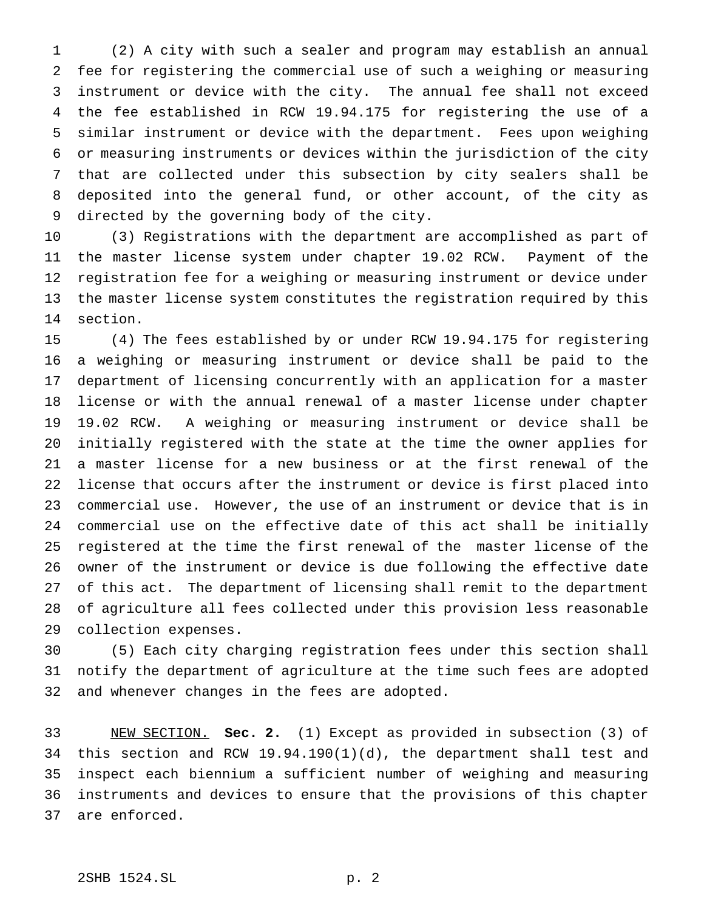(2) A city with such a sealer and program may establish an annual fee for registering the commercial use of such a weighing or measuring instrument or device with the city. The annual fee shall not exceed the fee established in RCW 19.94.175 for registering the use of a similar instrument or device with the department. Fees upon weighing or measuring instruments or devices within the jurisdiction of the city that are collected under this subsection by city sealers shall be deposited into the general fund, or other account, of the city as directed by the governing body of the city.

 (3) Registrations with the department are accomplished as part of the master license system under chapter 19.02 RCW. Payment of the registration fee for a weighing or measuring instrument or device under the master license system constitutes the registration required by this section.

 (4) The fees established by or under RCW 19.94.175 for registering a weighing or measuring instrument or device shall be paid to the department of licensing concurrently with an application for a master license or with the annual renewal of a master license under chapter 19.02 RCW. A weighing or measuring instrument or device shall be initially registered with the state at the time the owner applies for a master license for a new business or at the first renewal of the license that occurs after the instrument or device is first placed into commercial use. However, the use of an instrument or device that is in commercial use on the effective date of this act shall be initially registered at the time the first renewal of the master license of the owner of the instrument or device is due following the effective date of this act. The department of licensing shall remit to the department of agriculture all fees collected under this provision less reasonable collection expenses.

 (5) Each city charging registration fees under this section shall notify the department of agriculture at the time such fees are adopted and whenever changes in the fees are adopted.

 NEW SECTION. **Sec. 2.** (1) Except as provided in subsection (3) of this section and RCW 19.94.190(1)(d), the department shall test and inspect each biennium a sufficient number of weighing and measuring instruments and devices to ensure that the provisions of this chapter are enforced.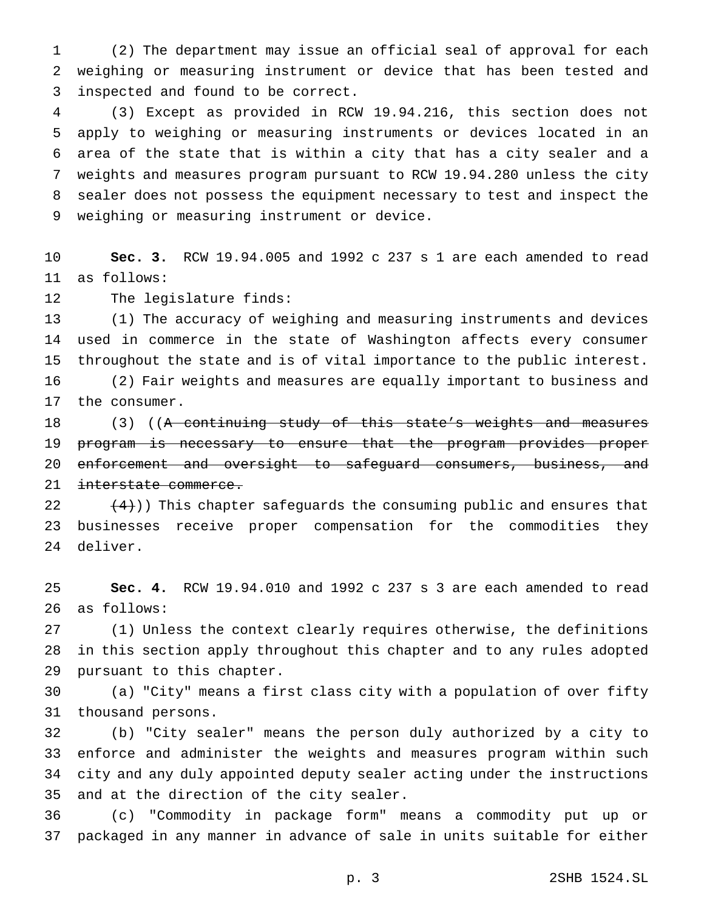(2) The department may issue an official seal of approval for each weighing or measuring instrument or device that has been tested and inspected and found to be correct.

 (3) Except as provided in RCW 19.94.216, this section does not apply to weighing or measuring instruments or devices located in an area of the state that is within a city that has a city sealer and a weights and measures program pursuant to RCW 19.94.280 unless the city sealer does not possess the equipment necessary to test and inspect the weighing or measuring instrument or device.

 **Sec. 3.** RCW 19.94.005 and 1992 c 237 s 1 are each amended to read as follows:

The legislature finds:

 (1) The accuracy of weighing and measuring instruments and devices used in commerce in the state of Washington affects every consumer throughout the state and is of vital importance to the public interest.

 (2) Fair weights and measures are equally important to business and the consumer.

18 (3) ((A continuing study of this state's weights and measures program is necessary to ensure that the program provides proper 20 enforcement and oversight to safeguard consumers, business, and 21 interstate commerce.

22  $(4)$ )) This chapter safeguards the consuming public and ensures that businesses receive proper compensation for the commodities they deliver.

 **Sec. 4.** RCW 19.94.010 and 1992 c 237 s 3 are each amended to read as follows:

 (1) Unless the context clearly requires otherwise, the definitions in this section apply throughout this chapter and to any rules adopted pursuant to this chapter.

 (a) "City" means a first class city with a population of over fifty thousand persons.

 (b) "City sealer" means the person duly authorized by a city to enforce and administer the weights and measures program within such city and any duly appointed deputy sealer acting under the instructions and at the direction of the city sealer.

 (c) "Commodity in package form" means a commodity put up or packaged in any manner in advance of sale in units suitable for either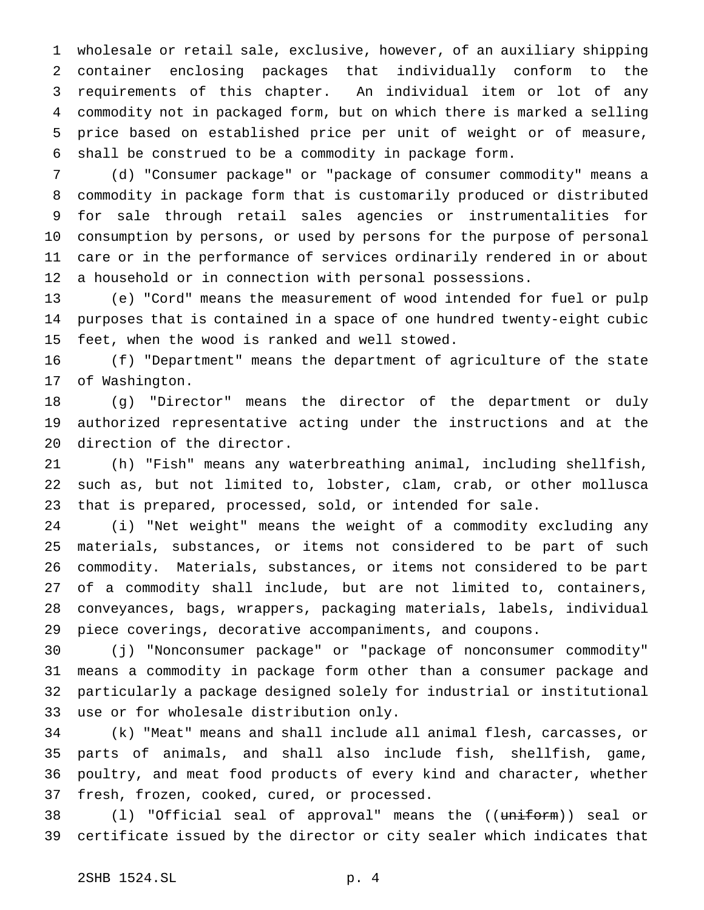wholesale or retail sale, exclusive, however, of an auxiliary shipping container enclosing packages that individually conform to the requirements of this chapter. An individual item or lot of any commodity not in packaged form, but on which there is marked a selling price based on established price per unit of weight or of measure, shall be construed to be a commodity in package form.

 (d) "Consumer package" or "package of consumer commodity" means a commodity in package form that is customarily produced or distributed for sale through retail sales agencies or instrumentalities for consumption by persons, or used by persons for the purpose of personal care or in the performance of services ordinarily rendered in or about a household or in connection with personal possessions.

 (e) "Cord" means the measurement of wood intended for fuel or pulp purposes that is contained in a space of one hundred twenty-eight cubic feet, when the wood is ranked and well stowed.

 (f) "Department" means the department of agriculture of the state of Washington.

 (g) "Director" means the director of the department or duly authorized representative acting under the instructions and at the direction of the director.

 (h) "Fish" means any waterbreathing animal, including shellfish, such as, but not limited to, lobster, clam, crab, or other mollusca that is prepared, processed, sold, or intended for sale.

 (i) "Net weight" means the weight of a commodity excluding any materials, substances, or items not considered to be part of such commodity. Materials, substances, or items not considered to be part of a commodity shall include, but are not limited to, containers, conveyances, bags, wrappers, packaging materials, labels, individual piece coverings, decorative accompaniments, and coupons.

 (j) "Nonconsumer package" or "package of nonconsumer commodity" means a commodity in package form other than a consumer package and particularly a package designed solely for industrial or institutional use or for wholesale distribution only.

 (k) "Meat" means and shall include all animal flesh, carcasses, or parts of animals, and shall also include fish, shellfish, game, poultry, and meat food products of every kind and character, whether fresh, frozen, cooked, cured, or processed.

38 (1) "Official seal of approval" means the ((uniform)) seal or certificate issued by the director or city sealer which indicates that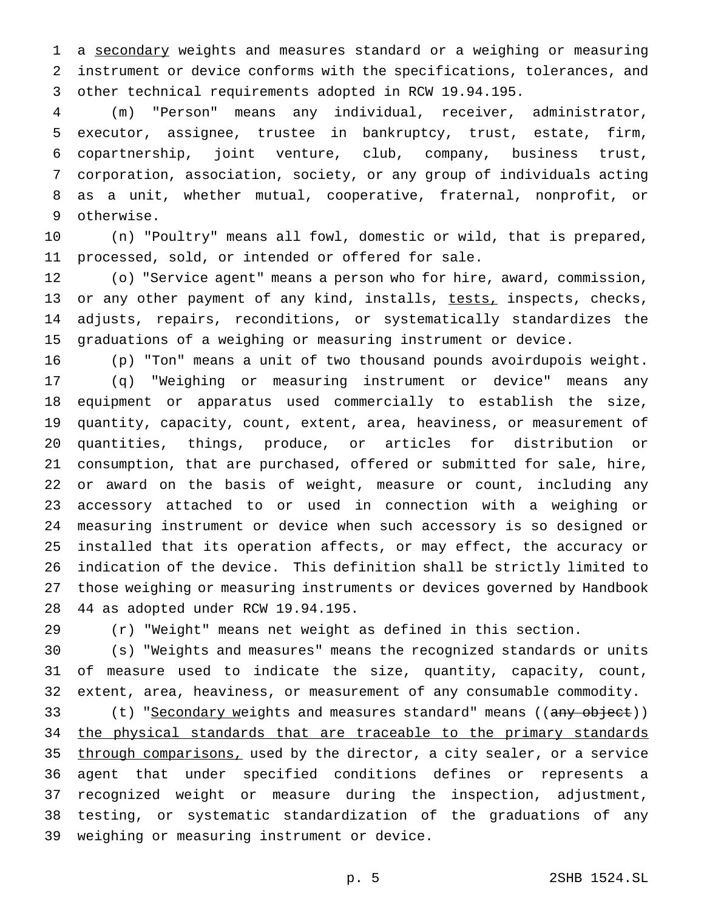a secondary weights and measures standard or a weighing or measuring instrument or device conforms with the specifications, tolerances, and other technical requirements adopted in RCW 19.94.195.

 (m) "Person" means any individual, receiver, administrator, executor, assignee, trustee in bankruptcy, trust, estate, firm, copartnership, joint venture, club, company, business trust, corporation, association, society, or any group of individuals acting as a unit, whether mutual, cooperative, fraternal, nonprofit, or otherwise.

 (n) "Poultry" means all fowl, domestic or wild, that is prepared, processed, sold, or intended or offered for sale.

 (o) "Service agent" means a person who for hire, award, commission, 13 or any other payment of any kind, installs, tests, inspects, checks, adjusts, repairs, reconditions, or systematically standardizes the graduations of a weighing or measuring instrument or device.

 (p) "Ton" means a unit of two thousand pounds avoirdupois weight. (q) "Weighing or measuring instrument or device" means any equipment or apparatus used commercially to establish the size, quantity, capacity, count, extent, area, heaviness, or measurement of quantities, things, produce, or articles for distribution or consumption, that are purchased, offered or submitted for sale, hire, or award on the basis of weight, measure or count, including any accessory attached to or used in connection with a weighing or measuring instrument or device when such accessory is so designed or installed that its operation affects, or may effect, the accuracy or indication of the device. This definition shall be strictly limited to those weighing or measuring instruments or devices governed by Handbook 44 as adopted under RCW 19.94.195.

(r) "Weight" means net weight as defined in this section.

 (s) "Weights and measures" means the recognized standards or units of measure used to indicate the size, quantity, capacity, count, extent, area, heaviness, or measurement of any consumable commodity.

33 (t) "<u>Secondary w</u>eights and measures standard" means ((any object)) 34 the physical standards that are traceable to the primary standards 35 through comparisons, used by the director, a city sealer, or a service agent that under specified conditions defines or represents a recognized weight or measure during the inspection, adjustment, testing, or systematic standardization of the graduations of any weighing or measuring instrument or device.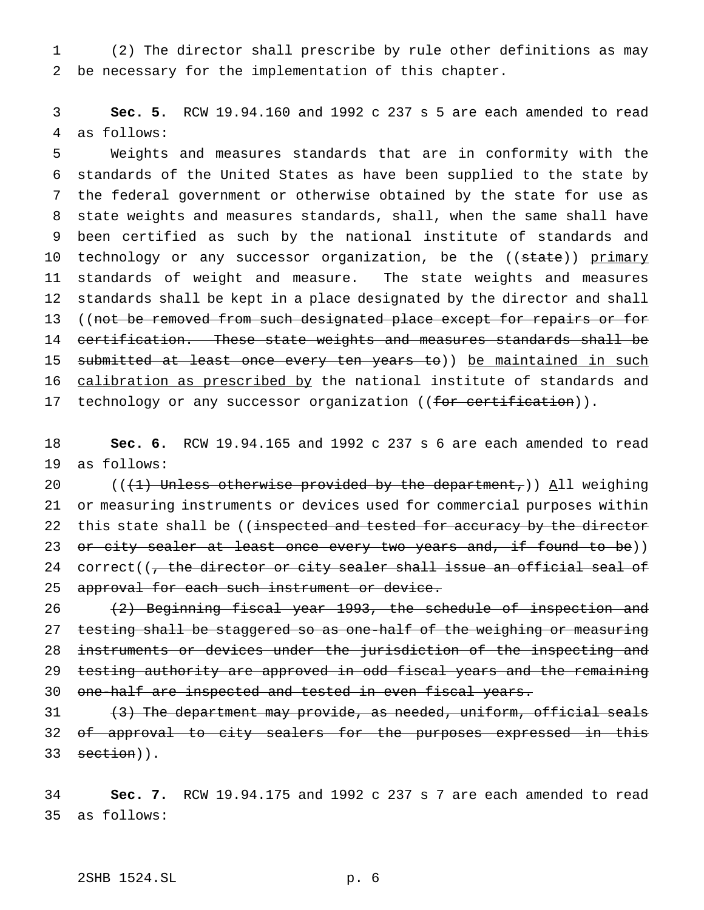(2) The director shall prescribe by rule other definitions as may be necessary for the implementation of this chapter.

 **Sec. 5.** RCW 19.94.160 and 1992 c 237 s 5 are each amended to read as follows:

 Weights and measures standards that are in conformity with the standards of the United States as have been supplied to the state by the federal government or otherwise obtained by the state for use as state weights and measures standards, shall, when the same shall have been certified as such by the national institute of standards and 10 technology or any successor organization, be the ((state)) primary standards of weight and measure. The state weights and measures standards shall be kept in a place designated by the director and shall 13 ((not be removed from such designated place except for repairs or for certification. These state weights and measures standards shall be 15 submitted at least once every ten years to)) be maintained in such 16 calibration as prescribed by the national institute of standards and 17 technology or any successor organization ((for certification)).

 **Sec. 6.** RCW 19.94.165 and 1992 c 237 s 6 are each amended to read as follows:

20 (( $(1)$  Unless otherwise provided by the department,)) All weighing or measuring instruments or devices used for commercial purposes within 22 this state shall be ((inspected and tested for accuracy by the director 23 or city sealer at least once every two years and, if found to be)) 24 correct( $\sqrt{7}$ , the director or city sealer shall issue an official seal of 25 approval for each such instrument or device.

 (2) Beginning fiscal year 1993, the schedule of inspection and 27 testing shall be staggered so as one-half of the weighing or measuring instruments or devices under the jurisdiction of the inspecting and testing authority are approved in odd fiscal years and the remaining one-half are inspected and tested in even fiscal years.

 (3) The department may provide, as needed, uniform, official seals 32 of approval to city sealers for the purposes expressed in this 33 section)).

 **Sec. 7.** RCW 19.94.175 and 1992 c 237 s 7 are each amended to read as follows: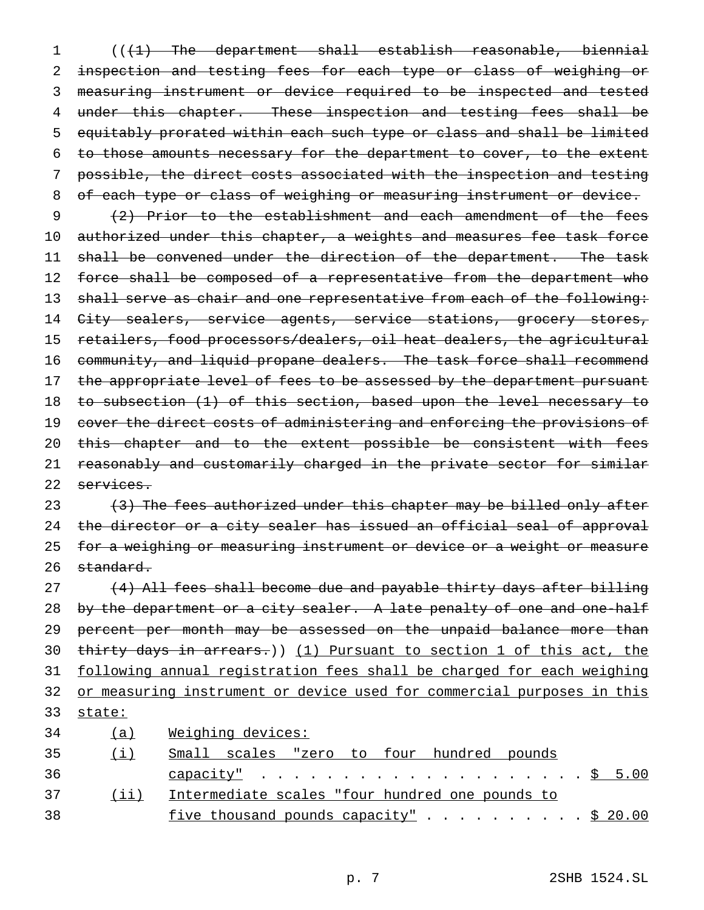(((1) The department shall establish reasonable, biennial inspection and testing fees for each type or class of weighing or measuring instrument or device required to be inspected and tested 4 under this chapter. These inspection and testing fees shall be equitably prorated within each such type or class and shall be limited to those amounts necessary for the department to cover, to the extent possible, the direct costs associated with the inspection and testing 8 of each type or class of weighing or measuring instrument or device.

9 (2) Prior to the establishment and each amendment of the fees 10 authorized under this chapter, a weights and measures fee task force 11 shall be convened under the direction of the department. The task 12 force shall be composed of a representative from the department who 13 shall serve as chair and one representative from each of the following: 14 City sealers, service agents, service stations, grocery stores, 15 retailers, food processors/dealers, oil heat dealers, the agricultural 16 community, and liquid propane dealers. The task force shall recommend 17 the appropriate level of fees to be assessed by the department pursuant 18 to subsection (1) of this section, based upon the level necessary to 19 cover the direct costs of administering and enforcing the provisions of 20 this chapter and to the extent possible be consistent with fees 21 reasonably and customarily charged in the private sector for similar 22 services.

23 (3) The fees authorized under this chapter may be billed only after 24 the director or a city sealer has issued an official seal of approval 25 for a weighing or measuring instrument or device or a weight or measure 26 standard.

27 (4) All fees shall become due and payable thirty days after billing 28 by the department or a city sealer. A late penalty of one and one-half 29 percent per month may be assessed on the unpaid balance more than 30 thirty days in arrears.)) (1) Pursuant to section 1 of this act, the 31 following annual registration fees shall be charged for each weighing 32 or measuring instrument or device used for commercial purposes in this 33 state: 34 (a) Weighing devices: 35 (i) Small scales "zero to four hundred pounds

| <u>ل ل</u> | philatic poatob acto co foat manatoa poando          |
|------------|------------------------------------------------------|
| 36         |                                                      |
| 37         | (ii) Intermediate scales "four hundred one pounds to |
| 38         | five thousand pounds capacity" \$ 20.00              |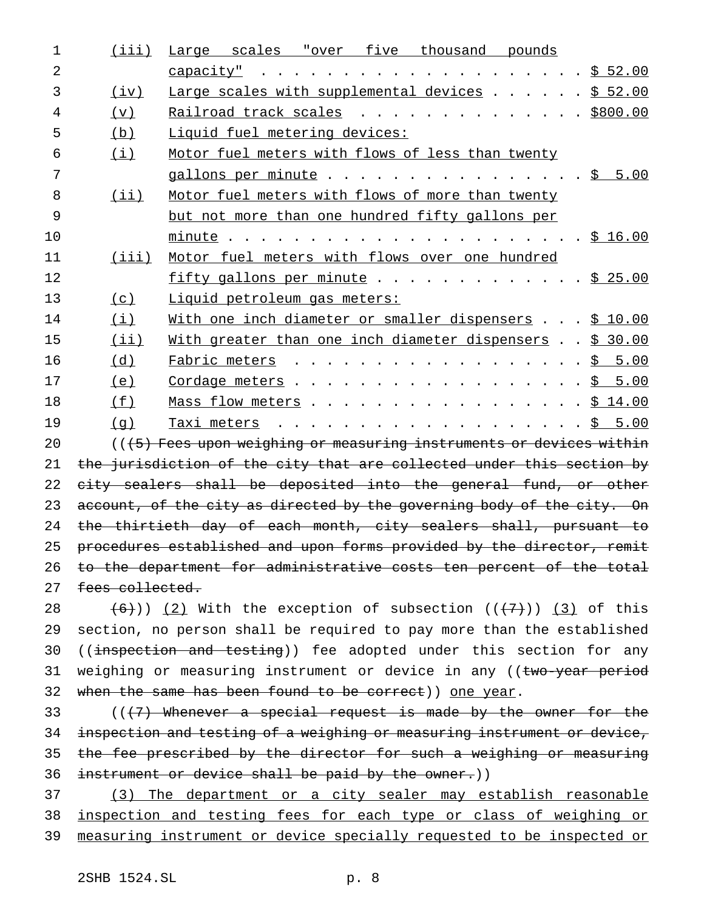| 1  | (iii)           | Large scales "over five thousand pounds                                |
|----|-----------------|------------------------------------------------------------------------|
| 2  |                 | capacity"                                                              |
| 3  | (iv)            | Large scales with supplemental devices \$ 52.00                        |
| 4  | (v)             | Railroad track scales \$800.00                                         |
| 5  | (b)             | Liquid fuel metering devices:                                          |
| 6  | (i)             | Motor fuel meters with flows of less than twenty                       |
| 7  |                 | gallons per minute $\cdots$ \$ 5.00                                    |
| 8  | $(i$ ii)        | Motor fuel meters with flows of more than twenty                       |
| 9  |                 | but not more than one hundred fifty gallons per                        |
| 10 |                 |                                                                        |
| 11 | (iii)           | Motor fuel meters with flows over one hundred                          |
| 12 |                 | fifty gallons per minute \$ 25.00                                      |
| 13 | (c)             | Liquid petroleum qas meters:                                           |
| 14 | (i)             | With one inch diameter or smaller dispensers $\ldots$ \$ 10.00         |
| 15 | (iii)           | With greater than one inch diameter dispensers \$ 30.00                |
| 16 | (d)             | Fabric meters \$ 5.00                                                  |
| 17 | (e)             | Cordage meters $\frac{1}{5}$ 5.00                                      |
| 18 | (f)             | Mass flow meters \$ 14.00                                              |
| 19 | (q)             | Taxi meters                                                            |
| 20 |                 | $((5)$ Fees upon weighing or measuring instruments or devices within   |
| 21 |                 | the jurisdiction of the city that are collected under this section by  |
| 22 |                 | city sealers shall be deposited into the general fund, or other        |
| 23 |                 | account, of the city as directed by the governing body of the city. On |
| 24 |                 | the thirtieth day of each month, city sealers shall, pursuant to       |
| 25 |                 | procedures established and upon forms provided by the director, remit  |
| 26 |                 | to the department for administrative costs ten percent of the total    |
| 27 | fees collected. |                                                                        |
|    |                 |                                                                        |

28  $(6)$ )) (2) With the exception of subsection  $((+7))$  (3) of this section, no person shall be required to pay more than the established 30 ((inspection and testing)) fee adopted under this section for any 31 weighing or measuring instrument or device in any ((two-year period 32 when the same has been found to be correct) one year.

33 ((<del>(7) Whenever a special request is made by the owner for the</del> 34 inspection and testing of a weighing or measuring instrument or device, 35 the fee prescribed by the director for such a weighing or measuring instrument or device shall be paid by the owner.))

 (3) The department or a city sealer may establish reasonable inspection and testing fees for each type or class of weighing or measuring instrument or device specially requested to be inspected or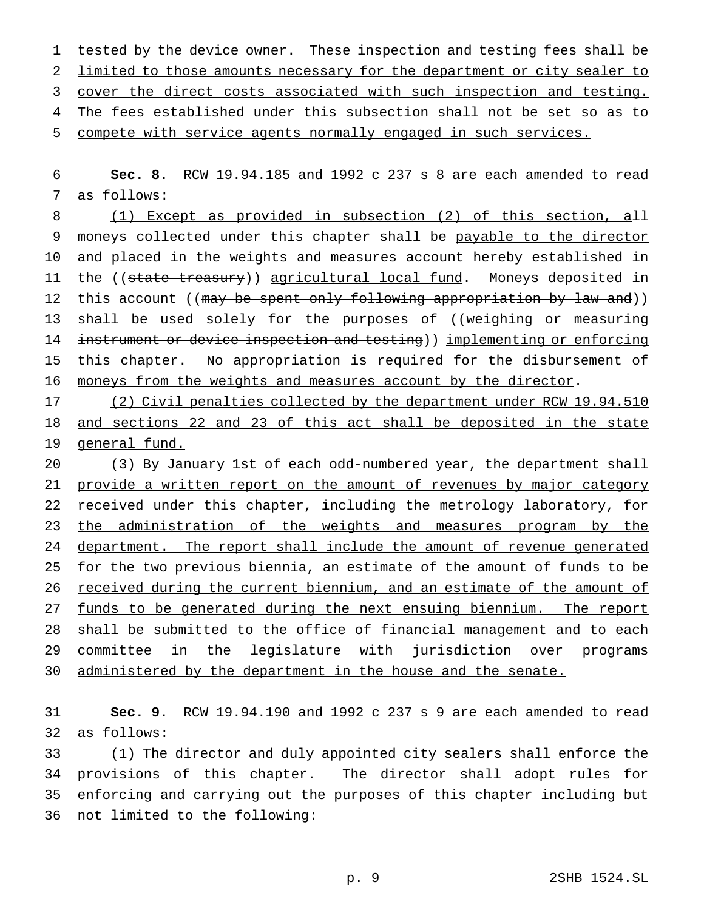1 tested by the device owner. These inspection and testing fees shall be 2 limited to those amounts necessary for the department or city sealer to 3 cover the direct costs associated with such inspection and testing. 4 The fees established under this subsection shall not be set so as to 5 compete with service agents normally engaged in such services.

6 **Sec. 8.** RCW 19.94.185 and 1992 c 237 s 8 are each amended to read 7 as follows:

8 (1) Except as provided in subsection (2) of this section, all 9 moneys collected under this chapter shall be payable to the director 10 <u>and</u> placed in the weights and measures account hereby established in 11 the ((state treasury)) agricultural local fund. Moneys deposited in 12 this account ((may be spent only following appropriation by law and)) 13 shall be used solely for the purposes of ((weighing or measuring 14 instrument or device inspection and testing)) implementing or enforcing 15 this chapter. No appropriation is required for the disbursement of 16 moneys from the weights and measures account by the director.

17 (2) Civil penalties collected by the department under RCW 19.94.510 18 and sections 22 and 23 of this act shall be deposited in the state 19 general fund.

20 (3) By January 1st of each odd-numbered year, the department shall 21 provide a written report on the amount of revenues by major category 22 received under this chapter, including the metrology laboratory, for 23 the administration of the weights and measures program by the 24 department. The report shall include the amount of revenue generated 25 for the two previous biennia, an estimate of the amount of funds to be 26 received during the current biennium, and an estimate of the amount of 27 funds to be generated during the next ensuing biennium. The report 28 shall be submitted to the office of financial management and to each 29 committee in the legislature with jurisdiction over programs 30 administered by the department in the house and the senate.

31 **Sec. 9.** RCW 19.94.190 and 1992 c 237 s 9 are each amended to read 32 as follows:

 (1) The director and duly appointed city sealers shall enforce the provisions of this chapter. The director shall adopt rules for enforcing and carrying out the purposes of this chapter including but not limited to the following: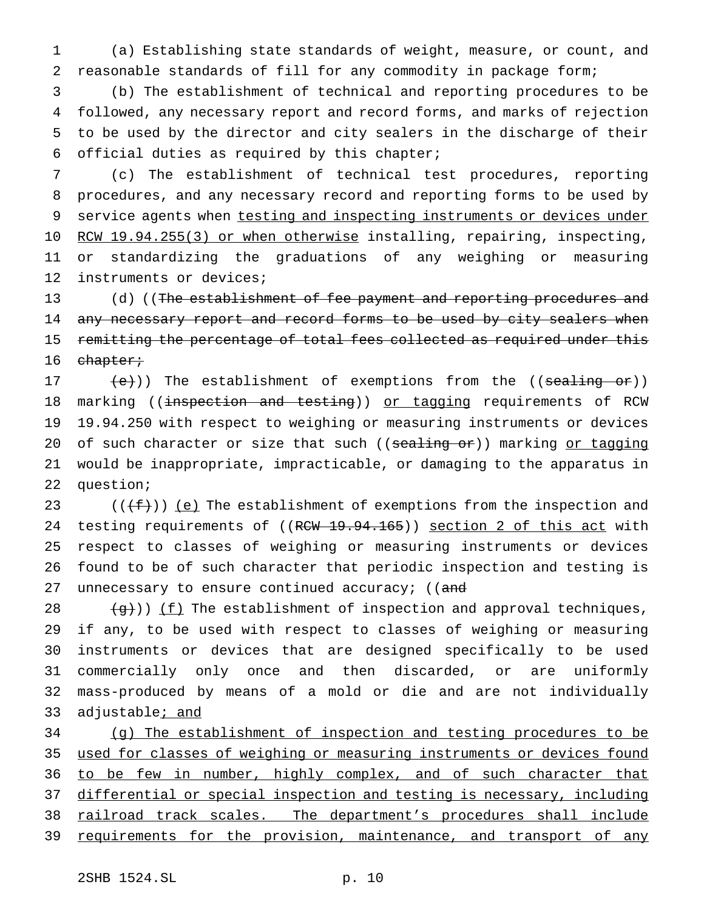1 (a) Establishing state standards of weight, measure, or count, and 2 reasonable standards of fill for any commodity in package form;

 (b) The establishment of technical and reporting procedures to be followed, any necessary report and record forms, and marks of rejection to be used by the director and city sealers in the discharge of their official duties as required by this chapter;

 (c) The establishment of technical test procedures, reporting procedures, and any necessary record and reporting forms to be used by 9 service agents when testing and inspecting instruments or devices under 10 RCW 19.94.255(3) or when otherwise installing, repairing, inspecting, or standardizing the graduations of any weighing or measuring instruments or devices;

13 (d) ((The establishment of fee payment and reporting procedures and 14 any necessary report and record forms to be used by city sealers when 15 remitting the percentage of total fees collected as required under this 16 chapter;

 $(e)$ )) The establishment of exemptions from the ((sealing or)) 18 marking ((inspection and testing)) or tagging requirements of RCW 19.94.250 with respect to weighing or measuring instruments or devices 20 of such character or size that such ((sealing or)) marking or tagging would be inappropriate, impracticable, or damaging to the apparatus in question;

23 ( $(\{\text{f}\})$ ) (e) The establishment of exemptions from the inspection and 24 testing requirements of ((RCW 19.94.165)) section 2 of this act with 25 respect to classes of weighing or measuring instruments or devices 26 found to be of such character that periodic inspection and testing is 27 unnecessary to ensure continued accuracy; ((and

 $(g)$ )) <u>(f)</u> The establishment of inspection and approval techniques, if any, to be used with respect to classes of weighing or measuring instruments or devices that are designed specifically to be used commercially only once and then discarded, or are uniformly mass-produced by means of a mold or die and are not individually 33 adjustable; and

34 (g) The establishment of inspection and testing procedures to be 35 used for classes of weighing or measuring instruments or devices found 36 to be few in number, highly complex, and of such character that 37 differential or special inspection and testing is necessary, including 38 railroad track scales. The department's procedures shall include 39 requirements for the provision, maintenance, and transport of any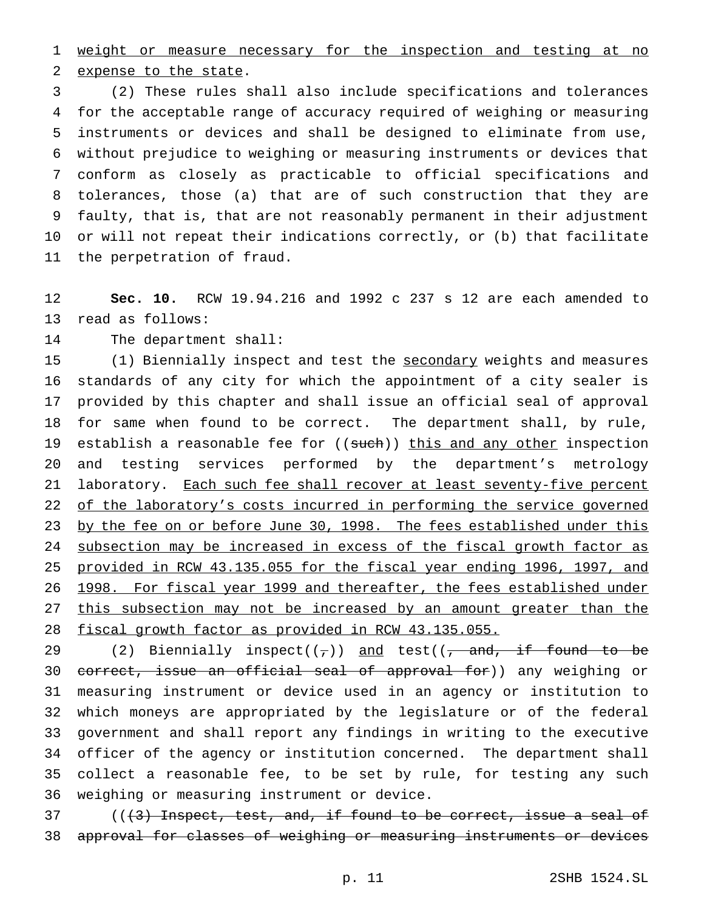weight or measure necessary for the inspection and testing at no expense to the state.

 (2) These rules shall also include specifications and tolerances for the acceptable range of accuracy required of weighing or measuring instruments or devices and shall be designed to eliminate from use, without prejudice to weighing or measuring instruments or devices that conform as closely as practicable to official specifications and tolerances, those (a) that are of such construction that they are faulty, that is, that are not reasonably permanent in their adjustment or will not repeat their indications correctly, or (b) that facilitate the perpetration of fraud.

 **Sec. 10.** RCW 19.94.216 and 1992 c 237 s 12 are each amended to read as follows:

The department shall:

 (1) Biennially inspect and test the secondary weights and measures standards of any city for which the appointment of a city sealer is provided by this chapter and shall issue an official seal of approval for same when found to be correct. The department shall, by rule, 19 establish a reasonable fee for ((such)) this and any other inspection and testing services performed by the department's metrology 21 laboratory. Each such fee shall recover at least seventy-five percent 22 of the laboratory's costs incurred in performing the service governed 23 by the fee on or before June 30, 1998. The fees established under this 24 subsection may be increased in excess of the fiscal growth factor as provided in RCW 43.135.055 for the fiscal year ending 1996, 1997, and 1998. For fiscal year 1999 and thereafter, the fees established under this subsection may not be increased by an amount greater than the fiscal growth factor as provided in RCW 43.135.055.

29 (2) Biennially inspect( $(\tau)$ ) and test( $(\tau)$  and, if found to be 30 correct, issue an official seal of approval for)) any weighing or measuring instrument or device used in an agency or institution to which moneys are appropriated by the legislature or of the federal government and shall report any findings in writing to the executive officer of the agency or institution concerned. The department shall collect a reasonable fee, to be set by rule, for testing any such weighing or measuring instrument or device.

 (( $(3)$  Inspect, test, and, if found to be correct, issue a seal of approval for classes of weighing or measuring instruments or devices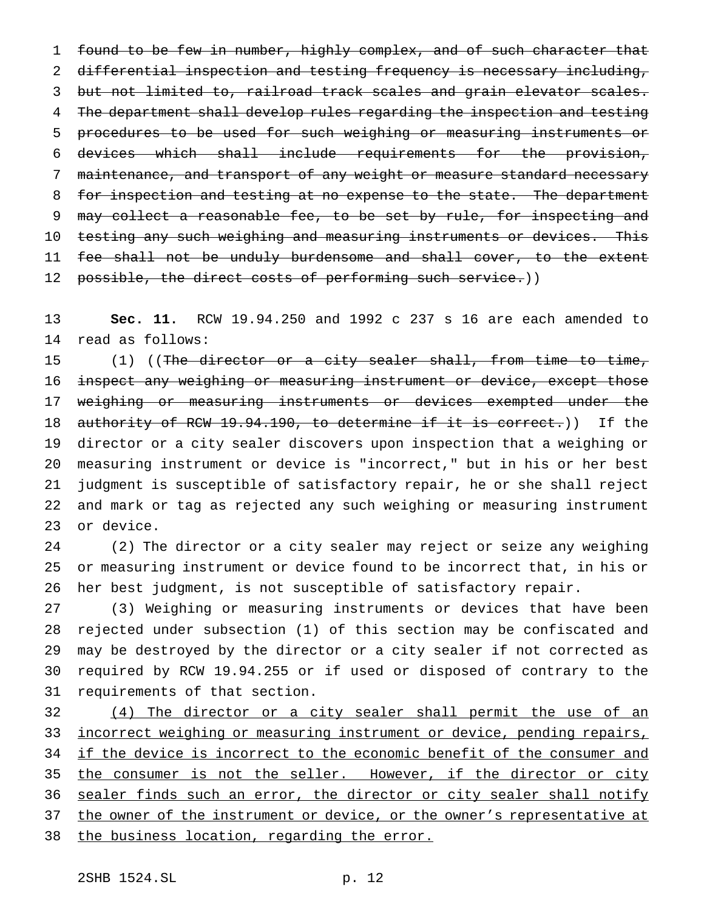found to be few in number, highly complex, and of such character that differential inspection and testing frequency is necessary including, but not limited to, railroad track scales and grain elevator scales. The department shall develop rules regarding the inspection and testing procedures to be used for such weighing or measuring instruments or devices which shall include requirements for the provision, maintenance, and transport of any weight or measure standard necessary 8 for inspection and testing at no expense to the state. The department 9 may collect a reasonable fee, to be set by rule, for inspecting and 10 testing any such weighing and measuring instruments or devices. This 11 fee shall not be unduly burdensome and shall cover, to the extent 12 possible, the direct costs of performing such service.))

 **Sec. 11.** RCW 19.94.250 and 1992 c 237 s 16 are each amended to read as follows:

15 (1) ((The director or a city sealer shall, from time to time, 16 inspect any weighing or measuring instrument or device, except those 17 weighing or measuring instruments or devices exempted under the 18 authority of RCW 19.94.190, to determine if it is correct.)) If the director or a city sealer discovers upon inspection that a weighing or measuring instrument or device is "incorrect," but in his or her best judgment is susceptible of satisfactory repair, he or she shall reject and mark or tag as rejected any such weighing or measuring instrument or device.

 (2) The director or a city sealer may reject or seize any weighing or measuring instrument or device found to be incorrect that, in his or her best judgment, is not susceptible of satisfactory repair.

 (3) Weighing or measuring instruments or devices that have been rejected under subsection (1) of this section may be confiscated and may be destroyed by the director or a city sealer if not corrected as required by RCW 19.94.255 or if used or disposed of contrary to the requirements of that section.

 (4) The director or a city sealer shall permit the use of an 33 incorrect weighing or measuring instrument or device, pending repairs, if the device is incorrect to the economic benefit of the consumer and 35 the consumer is not the seller. However, if the director or city 36 sealer finds such an error, the director or city sealer shall notify the owner of the instrument or device, or the owner's representative at the business location, regarding the error.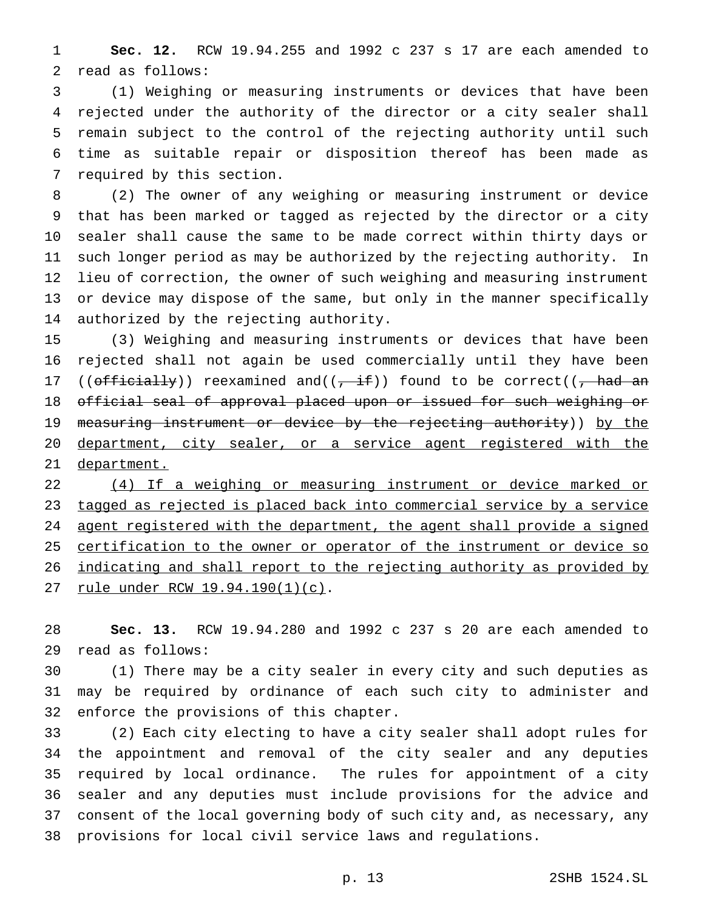**Sec. 12.** RCW 19.94.255 and 1992 c 237 s 17 are each amended to read as follows:

 (1) Weighing or measuring instruments or devices that have been rejected under the authority of the director or a city sealer shall remain subject to the control of the rejecting authority until such time as suitable repair or disposition thereof has been made as required by this section.

 (2) The owner of any weighing or measuring instrument or device that has been marked or tagged as rejected by the director or a city sealer shall cause the same to be made correct within thirty days or such longer period as may be authorized by the rejecting authority. In lieu of correction, the owner of such weighing and measuring instrument or device may dispose of the same, but only in the manner specifically authorized by the rejecting authority.

 (3) Weighing and measuring instruments or devices that have been rejected shall not again be used commercially until they have been 17 (( $off\text{-}i$ )) reexamined and( $(\frac{1}{i} + \frac{i}{i})$ ) found to be correct( $(\frac{1}{i} + \frac{i}{i})$  official seal of approval placed upon or issued for such weighing or 19 measuring instrument or device by the rejecting authority)) by the 20 department, city sealer, or a service agent registered with the 21 department.

 (4) If a weighing or measuring instrument or device marked or tagged as rejected is placed back into commercial service by a service 24 agent registered with the department, the agent shall provide a signed 25 certification to the owner or operator of the instrument or device so indicating and shall report to the rejecting authority as provided by rule under RCW 19.94.190(1)(c).

 **Sec. 13.** RCW 19.94.280 and 1992 c 237 s 20 are each amended to read as follows:

 (1) There may be a city sealer in every city and such deputies as may be required by ordinance of each such city to administer and enforce the provisions of this chapter.

 (2) Each city electing to have a city sealer shall adopt rules for the appointment and removal of the city sealer and any deputies required by local ordinance. The rules for appointment of a city sealer and any deputies must include provisions for the advice and consent of the local governing body of such city and, as necessary, any provisions for local civil service laws and regulations.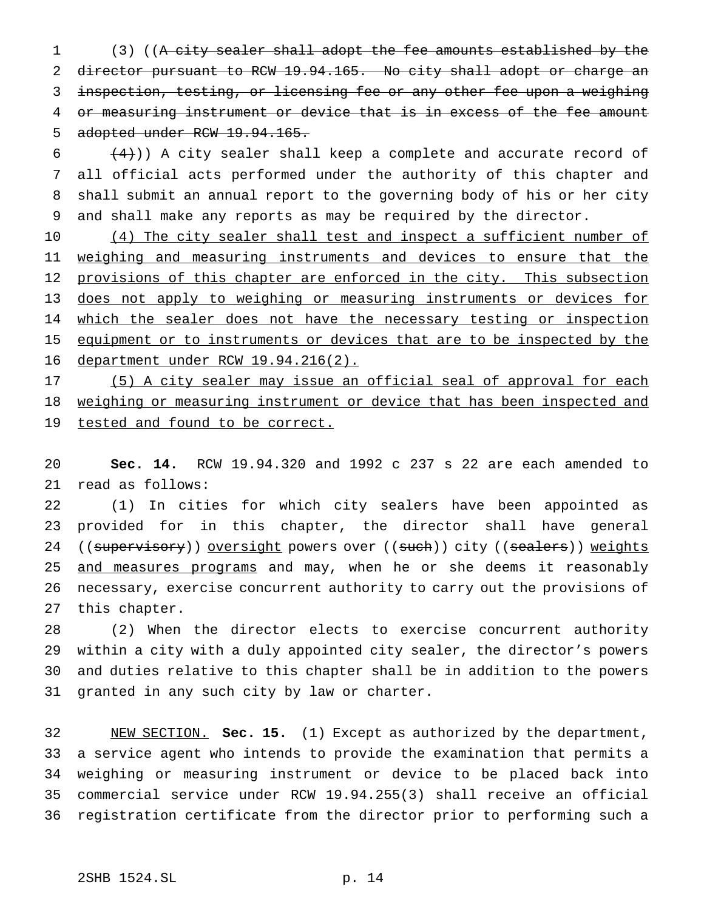(3) ((A city sealer shall adopt the fee amounts established by the director pursuant to RCW 19.94.165. No city shall adopt or charge an 3 inspection, testing, or licensing fee or any other fee upon a weighing or measuring instrument or device that is in excess of the fee amount adopted under RCW 19.94.165.

 $(4)$ )) A city sealer shall keep a complete and accurate record of all official acts performed under the authority of this chapter and shall submit an annual report to the governing body of his or her city and shall make any reports as may be required by the director.

 (4) The city sealer shall test and inspect a sufficient number of 11 weighing and measuring instruments and devices to ensure that the 12 provisions of this chapter are enforced in the city. This subsection does not apply to weighing or measuring instruments or devices for 14 which the sealer does not have the necessary testing or inspection 15 equipment or to instruments or devices that are to be inspected by the department under RCW 19.94.216(2).

17 (5) A city sealer may issue an official seal of approval for each 18 weighing or measuring instrument or device that has been inspected and 19 tested and found to be correct.

 **Sec. 14.** RCW 19.94.320 and 1992 c 237 s 22 are each amended to read as follows:

 (1) In cities for which city sealers have been appointed as provided for in this chapter, the director shall have general 24 ((supervisory)) oversight powers over ((such)) city ((sealers)) weights 25 and measures programs and may, when he or she deems it reasonably necessary, exercise concurrent authority to carry out the provisions of this chapter.

 (2) When the director elects to exercise concurrent authority within a city with a duly appointed city sealer, the director's powers and duties relative to this chapter shall be in addition to the powers granted in any such city by law or charter.

 NEW SECTION. **Sec. 15.** (1) Except as authorized by the department, a service agent who intends to provide the examination that permits a weighing or measuring instrument or device to be placed back into commercial service under RCW 19.94.255(3) shall receive an official registration certificate from the director prior to performing such a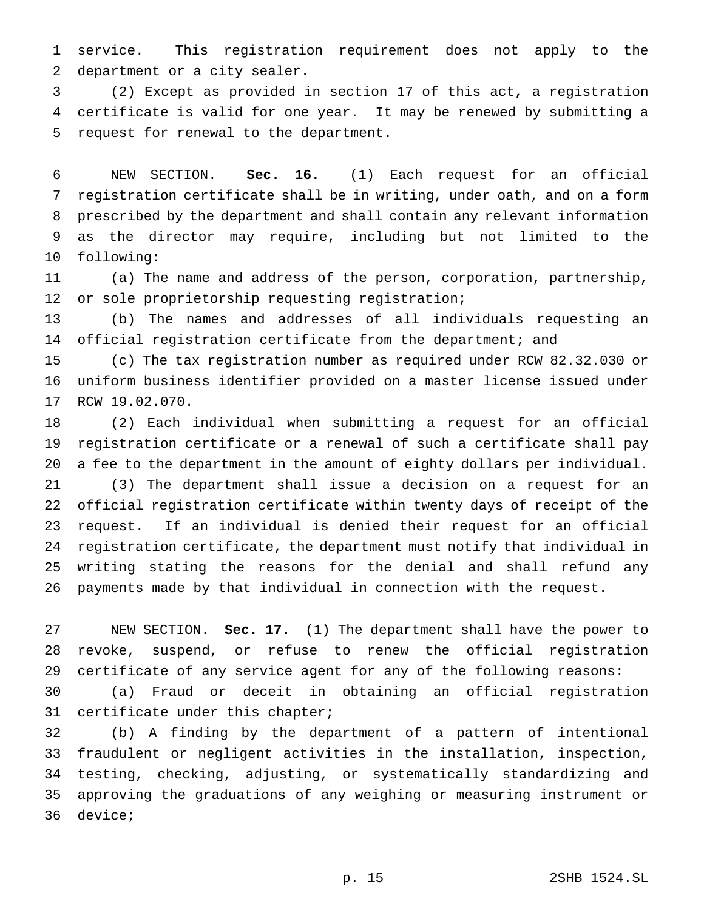service. This registration requirement does not apply to the department or a city sealer.

 (2) Except as provided in section 17 of this act, a registration certificate is valid for one year. It may be renewed by submitting a request for renewal to the department.

 NEW SECTION. **Sec. 16.** (1) Each request for an official registration certificate shall be in writing, under oath, and on a form prescribed by the department and shall contain any relevant information as the director may require, including but not limited to the following:

 (a) The name and address of the person, corporation, partnership, or sole proprietorship requesting registration;

 (b) The names and addresses of all individuals requesting an official registration certificate from the department; and

 (c) The tax registration number as required under RCW 82.32.030 or uniform business identifier provided on a master license issued under RCW 19.02.070.

 (2) Each individual when submitting a request for an official registration certificate or a renewal of such a certificate shall pay a fee to the department in the amount of eighty dollars per individual. (3) The department shall issue a decision on a request for an official registration certificate within twenty days of receipt of the request. If an individual is denied their request for an official registration certificate, the department must notify that individual in writing stating the reasons for the denial and shall refund any payments made by that individual in connection with the request.

 NEW SECTION. **Sec. 17.** (1) The department shall have the power to revoke, suspend, or refuse to renew the official registration certificate of any service agent for any of the following reasons:

 (a) Fraud or deceit in obtaining an official registration certificate under this chapter;

 (b) A finding by the department of a pattern of intentional fraudulent or negligent activities in the installation, inspection, testing, checking, adjusting, or systematically standardizing and approving the graduations of any weighing or measuring instrument or device;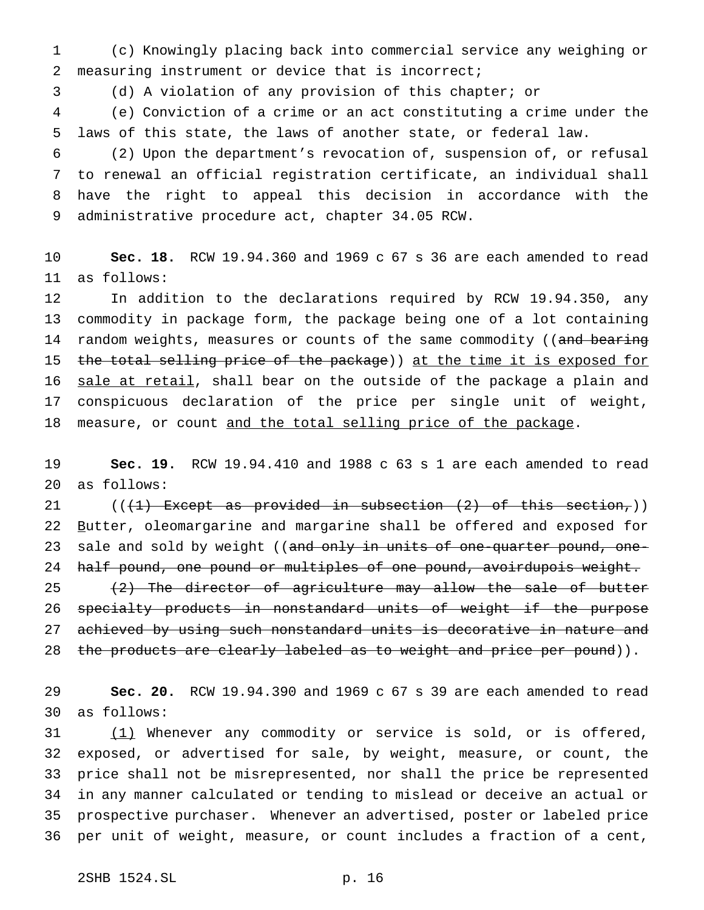(c) Knowingly placing back into commercial service any weighing or measuring instrument or device that is incorrect;

(d) A violation of any provision of this chapter; or

 (e) Conviction of a crime or an act constituting a crime under the laws of this state, the laws of another state, or federal law.

 (2) Upon the department's revocation of, suspension of, or refusal to renewal an official registration certificate, an individual shall have the right to appeal this decision in accordance with the administrative procedure act, chapter 34.05 RCW.

 **Sec. 18.** RCW 19.94.360 and 1969 c 67 s 36 are each amended to read as follows:

 In addition to the declarations required by RCW 19.94.350, any commodity in package form, the package being one of a lot containing 14 random weights, measures or counts of the same commodity ((and bearing 15 the total selling price of the package)) at the time it is exposed for 16 sale at retail, shall bear on the outside of the package a plain and conspicuous declaration of the price per single unit of weight, 18 measure, or count and the total selling price of the package.

 **Sec. 19.** RCW 19.94.410 and 1988 c 63 s 1 are each amended to read as follows:

21 ( $(\frac{1}{1})$  Except as provided in subsection  $(2)$  of this section,)) 22 Butter, oleomargarine and margarine shall be offered and exposed for 23 sale and sold by weight ((and only in units of one-quarter pound, one-24 half pound, one pound or multiples of one pound, avoirdupois weight.  $(2)$  The director of agriculture may allow the sale of butter specialty products in nonstandard units of weight if the purpose 27 achieved by using such nonstandard units is decorative in nature and

28 the products are clearly labeled as to weight and price per pound)).

 **Sec. 20.** RCW 19.94.390 and 1969 c 67 s 39 are each amended to read as follows:

31 (1) Whenever any commodity or service is sold, or is offered, exposed, or advertised for sale, by weight, measure, or count, the price shall not be misrepresented, nor shall the price be represented in any manner calculated or tending to mislead or deceive an actual or prospective purchaser. Whenever an advertised, poster or labeled price per unit of weight, measure, or count includes a fraction of a cent,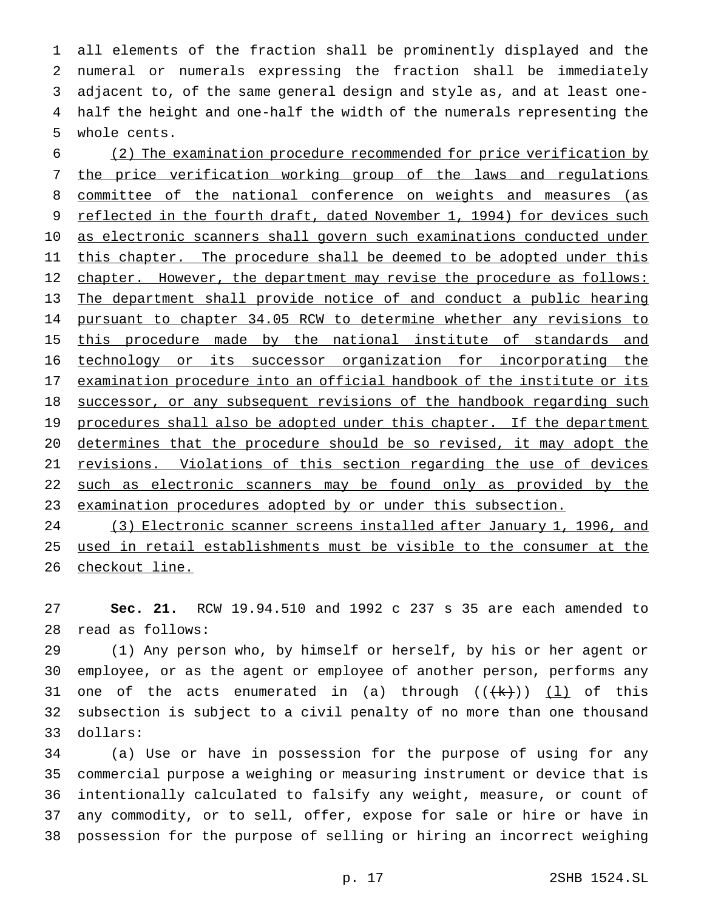all elements of the fraction shall be prominently displayed and the numeral or numerals expressing the fraction shall be immediately adjacent to, of the same general design and style as, and at least one- half the height and one-half the width of the numerals representing the whole cents.

 (2) The examination procedure recommended for price verification by the price verification working group of the laws and regulations committee of the national conference on weights and measures (as 9 reflected in the fourth draft, dated November 1, 1994) for devices such 10 as electronic scanners shall govern such examinations conducted under 11 this chapter. The procedure shall be deemed to be adopted under this 12 chapter. However, the department may revise the procedure as follows: The department shall provide notice of and conduct a public hearing pursuant to chapter 34.05 RCW to determine whether any revisions to 15 this procedure made by the national institute of standards and technology or its successor organization for incorporating the 17 examination procedure into an official handbook of the institute or its 18 successor, or any subsequent revisions of the handbook regarding such 19 procedures shall also be adopted under this chapter. If the department determines that the procedure should be so revised, it may adopt the 21 revisions. Violations of this section regarding the use of devices 22 such as electronic scanners may be found only as provided by the 23 examination procedures adopted by or under this subsection.

 (3) Electronic scanner screens installed after January 1, 1996, and used in retail establishments must be visible to the consumer at the 26 checkout line.

 **Sec. 21.** RCW 19.94.510 and 1992 c 237 s 35 are each amended to read as follows:

 (1) Any person who, by himself or herself, by his or her agent or employee, or as the agent or employee of another person, performs any 31 one of the acts enumerated in (a) through  $((+k))$  (1) of this subsection is subject to a civil penalty of no more than one thousand dollars:

 (a) Use or have in possession for the purpose of using for any commercial purpose a weighing or measuring instrument or device that is intentionally calculated to falsify any weight, measure, or count of any commodity, or to sell, offer, expose for sale or hire or have in possession for the purpose of selling or hiring an incorrect weighing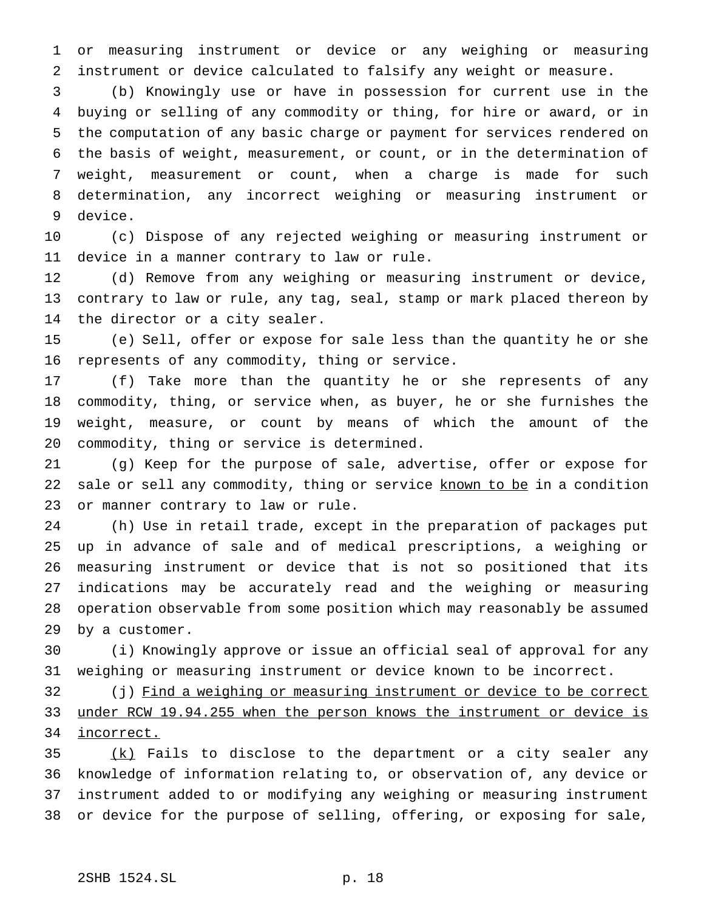or measuring instrument or device or any weighing or measuring instrument or device calculated to falsify any weight or measure.

 (b) Knowingly use or have in possession for current use in the buying or selling of any commodity or thing, for hire or award, or in the computation of any basic charge or payment for services rendered on the basis of weight, measurement, or count, or in the determination of weight, measurement or count, when a charge is made for such determination, any incorrect weighing or measuring instrument or device.

 (c) Dispose of any rejected weighing or measuring instrument or device in a manner contrary to law or rule.

 (d) Remove from any weighing or measuring instrument or device, contrary to law or rule, any tag, seal, stamp or mark placed thereon by the director or a city sealer.

 (e) Sell, offer or expose for sale less than the quantity he or she represents of any commodity, thing or service.

 (f) Take more than the quantity he or she represents of any commodity, thing, or service when, as buyer, he or she furnishes the weight, measure, or count by means of which the amount of the commodity, thing or service is determined.

 (g) Keep for the purpose of sale, advertise, offer or expose for 22 sale or sell any commodity, thing or service known to be in a condition or manner contrary to law or rule.

 (h) Use in retail trade, except in the preparation of packages put up in advance of sale and of medical prescriptions, a weighing or measuring instrument or device that is not so positioned that its indications may be accurately read and the weighing or measuring operation observable from some position which may reasonably be assumed by a customer.

 (i) Knowingly approve or issue an official seal of approval for any weighing or measuring instrument or device known to be incorrect.

32 (j) Find a weighing or measuring instrument or device to be correct under RCW 19.94.255 when the person knows the instrument or device is incorrect.

 (k) Fails to disclose to the department or a city sealer any knowledge of information relating to, or observation of, any device or instrument added to or modifying any weighing or measuring instrument or device for the purpose of selling, offering, or exposing for sale,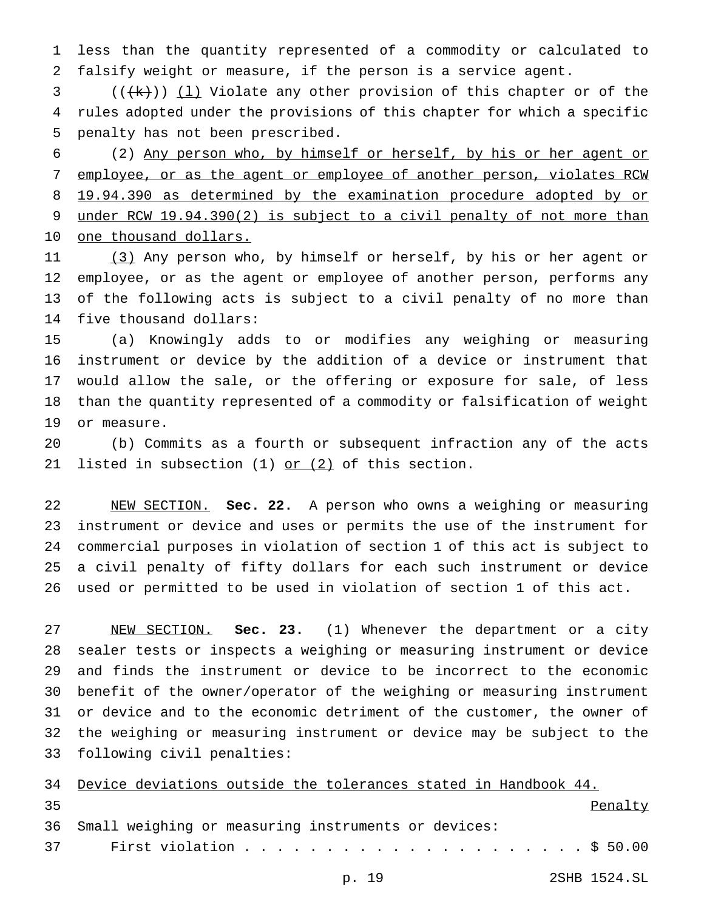less than the quantity represented of a commodity or calculated to falsify weight or measure, if the person is a service agent.

3  $((\{k\})$  ( $\bot$ ) Violate any other provision of this chapter or of the rules adopted under the provisions of this chapter for which a specific penalty has not been prescribed.

 (2) Any person who, by himself or herself, by his or her agent or 7 employee, or as the agent or employee of another person, violates RCW 8 19.94.390 as determined by the examination procedure adopted by or under RCW 19.94.390(2) is subject to a civil penalty of not more than 10 one thousand dollars.

 (3) Any person who, by himself or herself, by his or her agent or employee, or as the agent or employee of another person, performs any of the following acts is subject to a civil penalty of no more than five thousand dollars:

 (a) Knowingly adds to or modifies any weighing or measuring instrument or device by the addition of a device or instrument that would allow the sale, or the offering or exposure for sale, of less than the quantity represented of a commodity or falsification of weight or measure.

 (b) Commits as a fourth or subsequent infraction any of the acts 21 listed in subsection  $(1)$  or  $(2)$  of this section.

 NEW SECTION. **Sec. 22.** A person who owns a weighing or measuring instrument or device and uses or permits the use of the instrument for commercial purposes in violation of section 1 of this act is subject to a civil penalty of fifty dollars for each such instrument or device used or permitted to be used in violation of section 1 of this act.

 NEW SECTION. **Sec. 23.** (1) Whenever the department or a city sealer tests or inspects a weighing or measuring instrument or device and finds the instrument or device to be incorrect to the economic benefit of the owner/operator of the weighing or measuring instrument or device and to the economic detriment of the customer, the owner of the weighing or measuring instrument or device may be subject to the following civil penalties:

|    | 34 Device deviations outside the tolerances stated in Handbook 44. |
|----|--------------------------------------------------------------------|
| 35 | Penalty                                                            |
|    | 36 Small weighing or measuring instruments or devices:             |
|    |                                                                    |

p. 19 2SHB 1524.SL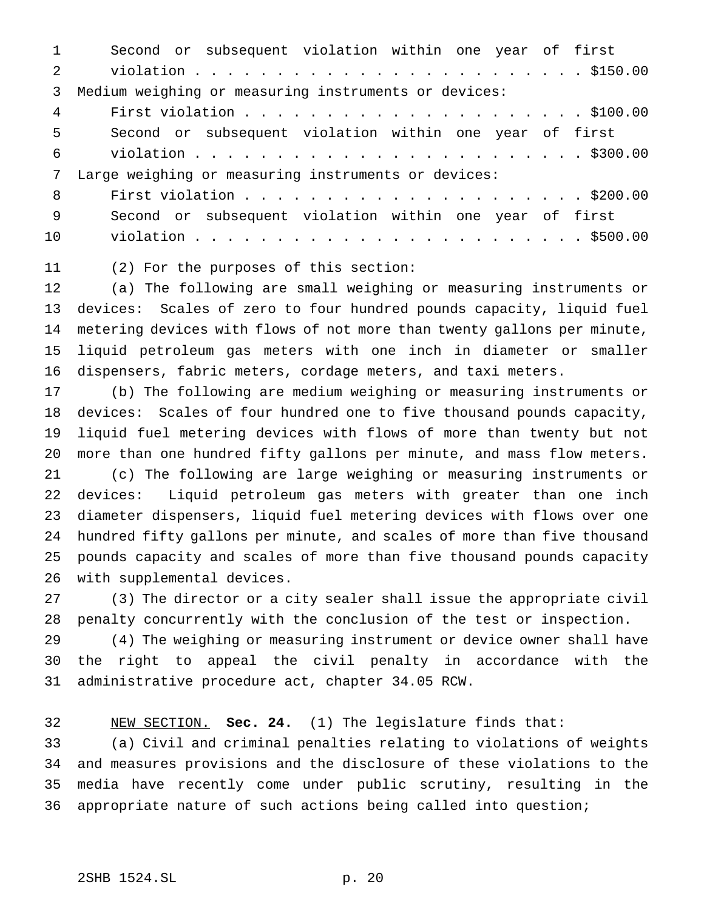Second or subsequent violation within one year of first violation........................ \$150.00 Medium weighing or measuring instruments or devices: First violation..................... \$100.00 Second or subsequent violation within one year of first violation........................ \$300.00 Large weighing or measuring instruments or devices: First violation..................... \$200.00 Second or subsequent violation within one year of first violation........................ \$500.00

(2) For the purposes of this section:

 (a) The following are small weighing or measuring instruments or devices: Scales of zero to four hundred pounds capacity, liquid fuel metering devices with flows of not more than twenty gallons per minute, liquid petroleum gas meters with one inch in diameter or smaller dispensers, fabric meters, cordage meters, and taxi meters.

 (b) The following are medium weighing or measuring instruments or devices: Scales of four hundred one to five thousand pounds capacity, liquid fuel metering devices with flows of more than twenty but not more than one hundred fifty gallons per minute, and mass flow meters. (c) The following are large weighing or measuring instruments or devices: Liquid petroleum gas meters with greater than one inch diameter dispensers, liquid fuel metering devices with flows over one hundred fifty gallons per minute, and scales of more than five thousand pounds capacity and scales of more than five thousand pounds capacity with supplemental devices.

 (3) The director or a city sealer shall issue the appropriate civil penalty concurrently with the conclusion of the test or inspection.

 (4) The weighing or measuring instrument or device owner shall have the right to appeal the civil penalty in accordance with the administrative procedure act, chapter 34.05 RCW.

 NEW SECTION. **Sec. 24.** (1) The legislature finds that: (a) Civil and criminal penalties relating to violations of weights and measures provisions and the disclosure of these violations to the media have recently come under public scrutiny, resulting in the appropriate nature of such actions being called into question;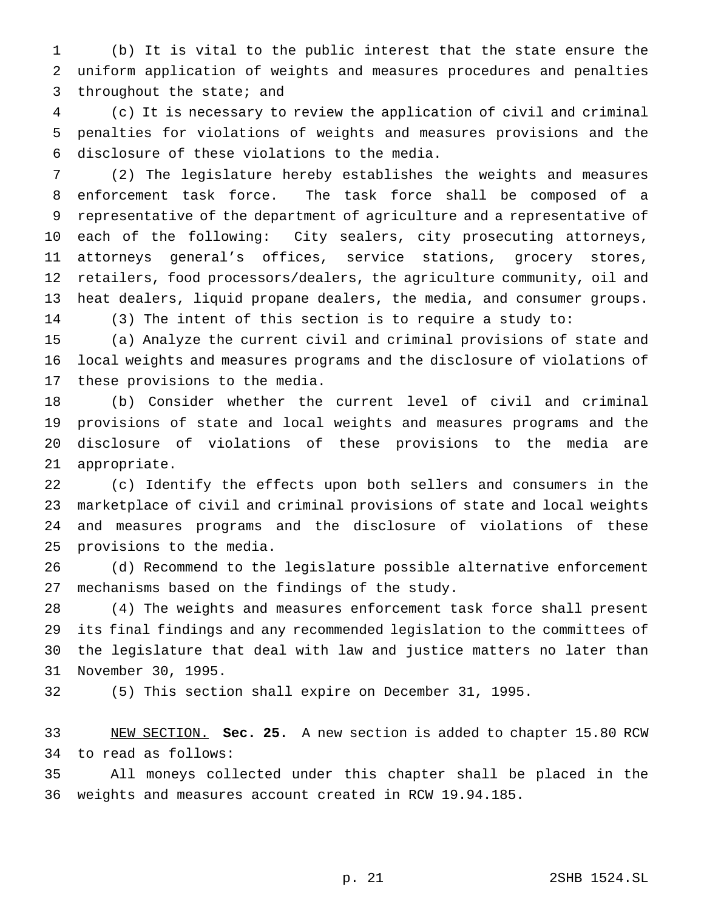(b) It is vital to the public interest that the state ensure the uniform application of weights and measures procedures and penalties throughout the state; and

 (c) It is necessary to review the application of civil and criminal penalties for violations of weights and measures provisions and the disclosure of these violations to the media.

 (2) The legislature hereby establishes the weights and measures enforcement task force. The task force shall be composed of a representative of the department of agriculture and a representative of each of the following: City sealers, city prosecuting attorneys, attorneys general's offices, service stations, grocery stores, retailers, food processors/dealers, the agriculture community, oil and heat dealers, liquid propane dealers, the media, and consumer groups. (3) The intent of this section is to require a study to:

 (a) Analyze the current civil and criminal provisions of state and local weights and measures programs and the disclosure of violations of these provisions to the media.

 (b) Consider whether the current level of civil and criminal provisions of state and local weights and measures programs and the disclosure of violations of these provisions to the media are appropriate.

 (c) Identify the effects upon both sellers and consumers in the marketplace of civil and criminal provisions of state and local weights and measures programs and the disclosure of violations of these provisions to the media.

 (d) Recommend to the legislature possible alternative enforcement mechanisms based on the findings of the study.

 (4) The weights and measures enforcement task force shall present its final findings and any recommended legislation to the committees of the legislature that deal with law and justice matters no later than November 30, 1995.

(5) This section shall expire on December 31, 1995.

 NEW SECTION. **Sec. 25.** A new section is added to chapter 15.80 RCW to read as follows:

 All moneys collected under this chapter shall be placed in the weights and measures account created in RCW 19.94.185.